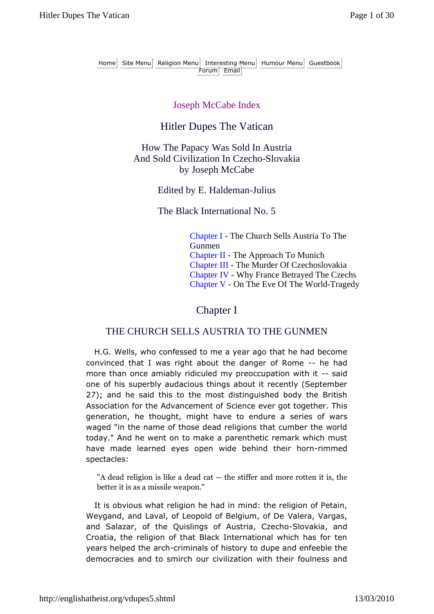Home Site Menu Religion Menu Interesting Menu Humour Menu Guestbook Forum Email

#### Joseph McCabe Index

## Hitler Dupes The Vatican

How The Papacy Was Sold In Austria And Sold Civilization In Czecho-Slovakia by Joseph McCabe

#### Edited by E. Haldeman-Julius

The Black International No. 5

Chapter I - The Church Sells Austria To The Gunmen Chapter II - The Approach To Munich Chapter III - The Murder Of Czechoslovakia Chapter IV - Why France Betrayed The Czechs Chapter V - On The Eve Of The World-Tragedy

### Chapter I

#### THE CHURCH SELLS AUSTRIA TO THE GUNMEN

H.G. Wells, who confessed to me a year ago that he had become convinced that I was right about the danger of Rome -- he had more than once amiably ridiculed my preoccupation with it -- said one of his superbly audacious things about it recently (September 27); and he said this to the most distinguished body the British Association for the Advancement of Science ever got together. This generation, he thought, might have to endure a series of wars waged "in the name of those dead religions that cumber the world today." And he went on to make a parenthetic remark which must have made learned eyes open wide behind their horn-rimmed spectacles:

"A dead religion is like a dead cat -- the stiffer and more rotten it is, the better it is as a missile weapon."

It is obvious what religion he had in mind: the religion of Petain, Weygand, and Laval, of Leopold of Belgium, of De Valera, Vargas, and Salazar, of the Quislings of Austria, Czecho-Slovakia, and Croatia, the religion of that Black International which has for ten years helped the arch-criminals of history to dupe and enfeeble the democracies and to smirch our civilization with their foulness and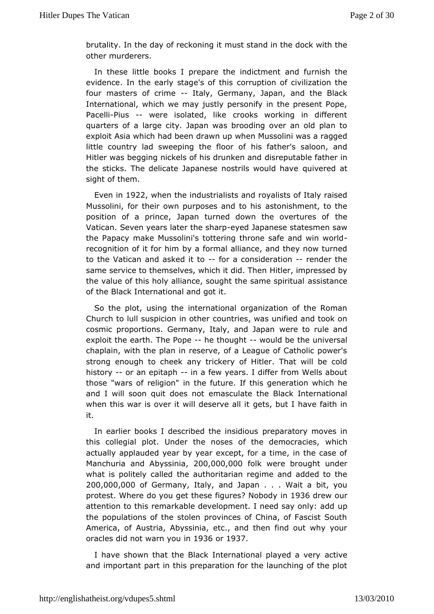brutality. In the day of remonkurs mission that in the dock with the other murderers.

In these little boporlespalre the indictment and furnish the evidence. In the early stagebarapttiboins of civilization the four masters of crimaty, Germany, Japdnthe Black International, which we may justly personify in the present I Pace-IPiius-- were isolated, like crooks working in different quarters of a age city. Japan was brooding over an old plan t exploit Asia which had a b when Mussolini was a ragged little country lad sweeping the is floot heafs saloon, and Hitler was begging nickels of hisdds una behand father in the sticks. The delicate Japanese nost quisvew roeud dathave sight of them.

Even in $922$  when the industrialisd  $\frac{1}{3}$  and  $\frac{1}{3}$  of Italy raised Mussolini, for their own purposeas amdist to the mussolini, to the position of a prince, Japan turned down thte heovertures of Vatican. Seven years later etyheed shaap prese statesmen saw the Papampake Mussolini's tottering throne safe- and win world recognition of it for him formal alliance, and they now turned to the Vatican and askedora to onsideration ander the same service to themselves, which it leting impressed by the value of this holy alliance, sought these stast man spiritual of the Black International and got it.

So the plot, usinighterreational organization of the Roman Church to lull suspicion count hear, was unified and took on cosmic proportions. Germany, Italywearedtolamuale and exploit the earth. The heotheought would be turneiversal chaplain, with the plan in reserve, of a League of Catholic p strong enough to cheek any trickery of Hitler. That will be history oran epitaphin a few years. I differ from Wells about those "wars of religitch re" future. If this generation which he and I will soon quit demasimout ate the Black International when this war is over it will dgeesyebuatllihave faith in it.

In earlier books I described the eimas indicuys moves in this collegial plot. Under the noses of the hichemocracies, actually applauded year by year except, for a time, in the ca Manchuria and Aby 200,000,000 k were brought under what is policalyed the authoritarian regime and added to the 200,000,000 Germanyalyand Japan . . . Wait a bit, you protest. Where do you get these figurre \$36 on rock our in attention to this remarkable development. I neuend say only: ac the populations of the stolen provinces of China, of Fascist America, f Austria, Abyssinia, etc., and then find out why yo oracles did not waimm1 936 Gor1937

I have shown that the Black Internationalaptiayeed a very and important part in this preparation for the launching of th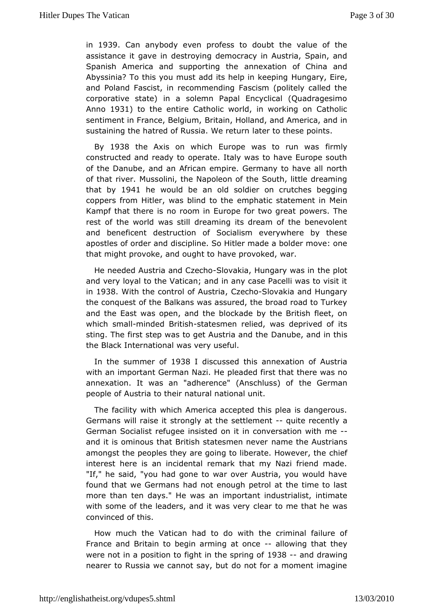in 1939 Can anybody even profess to doubt the value of th assistance it gadwes timo ying democracy in Austria, Spain, and Spanish America and supporting x at theon of China and Abyssinia? To this you must add its helum ginarke Epined and Poland Fascist, in recommending Fascism (politely calle corporative state) in a solemn Papal Encyclical (Quadrage Anno1931) to theentire Catholic world, in working on Catholic sentiment in France, BB ridaim, Holland, and America, and in sustaining the hatred of Russidat We to the rese points.

By 1938 the Axis on which Europe was tbirmun was constructed and ready to operate. Italy was to have Europe : of the anube, and an African empire. Germany to have all no of that rivenssolini, the Napoleon of the South, little dreaming that by1941 he would be old soldier on crutches begging coppers from Hitler, was blemdphatic estatement in Mein Kampf that there is no room in Europepfcowe truso Tghreat rest of the world was still dreaming its dream of the benev and beneficent destruction of Socialism everywhere by the apostles of ordedrisacripline. So Hitler made a bolder move: one that might provoke, and ho aungeht to voked, war.

He needed Austria and SC oveachion, Hungary the as pilmot and very loyal to the Vatican; and in any case Pacelli was to in1938 $W$ ith the control of  $\mathcal{L}_{\mathbf{w}}$  alovakia and Hungary the conquest the Balkans was assured, the broad road to Turke and the East was opethe abdockade by the British fleet, on which smanlinded Britists antersmermelied, was deprived of its sting. The first step was to get AuDsaniuabendant dein this the Black International was very useful.

In the summoed 1938 I discussed this annexation of Austria with an important German pNeaded efirst that there was no annexation. It was an "adherence" (AtmeschGessm) anof people of Austria to their natural national unit.

The facilwith which America accepted this plea is dangerous Germans will rasite enigly at the settlemenue into recently a German Socialist refuge coninistisite donversation with me and it is ominous that British statreasmmenthree Aeurstrians amongst the peoples they are going to liberadbieHowever, the interest here is an incidental remark that my Nazi friend m "If," heeaid, "you had gone to war over Austria, you would ha found that we Germand nsot enough petrol at the time to last more than ten days." Heimwas teamt industrialist, intimate with some of the leaders, and  $\phi$  tewas stover that he was convinced of this.

How much the Vatican haw titho to hote criminal failure of France and Britain to begin arming llaotwiomgcethat they were not in a position to fight in 1t \$188-spamiddgraowling nearer to Russia we cannot say, but do not for a moment ima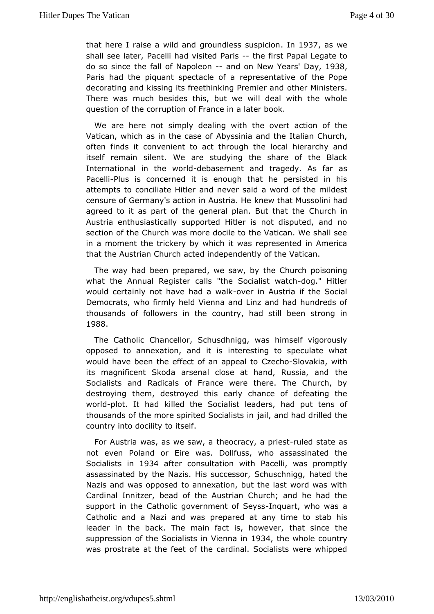thathere I raise a wild and groundles in 1594, 357 paision responsion to the substance of the studies of the studies of the studies of the studies of the studies of the studies of the studies of the studies of the studies shall see la tacelli had visited the rifirst Papal Legate to do so since the Naalphod eonand on New YeDaarys 1938 Paris had the piquant spectwolle sole fractive of the Pope decorating and kissing its freethinking there Ministernal. There was much besides this, but we will deal with the w question of the corruption of France in a later book.

We are here sniontply dealing with the overt action of the Vatican, which as in the Abcyasseinoith and the Italian Church, often finds it convenient to act to act the local hieraschy and itself remain silent. We are studying the share of the B International in the dewboat dement and tragedy. As far as Pace-IPPilus issoncerned it is enough that he persisted in his attempts to conciliatandinever said a word of the mildest censure of Germany's action ink**Ae w**that Holeussolini had agreed to it as part of the general planCh **Budhthat** the Austria enthusiastically supported Hitler is not disputed, a section of the Church was more docile to the Vatican. We shall in a momethte trickery by which it was represented in Americ that the Austrian *Qbusdhindependently* of the Vatican.

The way had been prepared, withes a Cuh, u boyh poisoning what the Annual Register calls "the Sobooga"Histtlewatch would certainly not have hand ear whal Akustria if the Social Democrats, who firmly held Vienna and Linz and had hundred thousands foflowers in the country, had still been strong i 1988.

The CathoCihcancellor, Schusdhnigg, was himself vigorously opposed to annexation, aimderiesiting to speculate what would have been the effect of a@z**app&bd**vtakia, with its magnificent Skoda arsenal close at hanton, e Russia, and Socialists and Radicals of France were there. The Church destroying them, destroyed this early chance of defeating the worlout. It had kille Sothalist leaders, had put tens of thousands of the more spirited Saot iaalmsthand drilled the country into docility to itself.

For Austwias, as we saw, a theocrac-vulaed psiteaste as not even Poland owaEsireDollfuss, who assassinated the Socialists 19r84 after consultation Pavciethli, was promptly assassinated by the Nazis. His successor at  $Set$  htthese hnigg, Nazis and was opposed to annexation, but the last word was Cardinal Innitzer, bead of the Austrian Church; and he had support in Chaetholic government of in Seconsts who was a Catholic and a Nazi aponde pwaaned at any time to stab his leader in the back. The main fact thathownexeenthe suppression of the Socialists in 934, the men avhiotountry was prostrate at the feet of the cardinal. Socialists were wh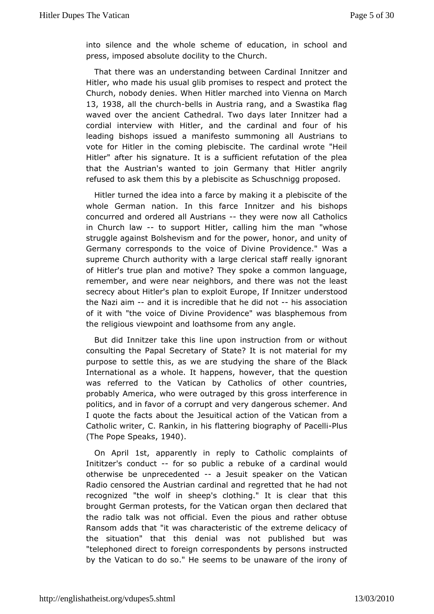intosilence and the whole scheme of education, in school  $\alpha$ press, imposed abdsood ultiey to the Church.

That there was an understanding betweentz@arainmdal Hitler, who made his usual glib promises to respect and prote Church, nobody denies. When Hitler marched into Vienna on N 13, 1938 allthe churbblls in Austria rang, and a Swastika flag waved over the anCcathedral. Two days later Innitzer had a cordial interview with Hitlercaandichatheand four of his leading bishops issued a manifesto s**Amstrians and the light** vote for Hitler in the coming plebiscite. The cardinal wrote Hitler" after his signature. It is a sufficient refutation of the that thAustrian's wanted to join Germany that Hitler angri refused to ask the by tahips lebiscite as Schuschnigg proposed.

Hitler turned the idefarine boly making it a plebiscite of the whole German nation. In thimsnitae reand his bishops concurred and ordered all-Aurset wiawnes re naolw Catholics in Church lawo support Hitler, calling him the man "whose struggle against Bolshevism and for the power, honor, and un Germanycorresponds to the voice of Divine Providence." Was a supreme Church authiothita large clerical staff really ignorant of Hitler's true plan and  $Im\omega t$  is  $p\hat{\theta}$ ke a common language, remember, and were near neighbors, amodt ttheere lewests secrecy about Hitler's plan to exploit Eurnopher, stoodnitzer the Nazi aimand it is incredible that he hidsiads snoodiation of it with "the voice of Divine Providence" was blasphemous thereligious viewpoint and loathsome from any angle.

But did Innitzerthaskeline upon instruction from or without consulting the Papal Sec $S$  betage? btf is not material for my purpose to settle this, as we are sshadeying the Black International as a whole. It happens, how exert, othat the was referred to the Vatican by Catholics of other countr probably merica, who were outraged by this gross interference politics, and inoffaa ocrorrupt and very dangerous schemer. And I quote the facts abdesutihtecal action of the Vatican from a Catholic writer, C. Rankinatterining biography of PI Bacelli  $(The Pope Sp, e1a9k4s)$ .

On Aprillst, apparently in reply to Catholic complaints of Inititzer's condutor sopublic a rebuke of a cardinal would otherwise be unprecedeanted suspeaker on the Vatican Radio censored the Austrian cardinal and erearche that that recognized "the wolf in sheep's clothing." It is clear that brought German protests, for the Vatican organ then declared the radio twaaks not official. Even the pious and rather obtus Ransom adds that "dhawasteristic of the extreme delicacy of the situation" that this demicall poudoslished but was "telephoned direct to foreign correspondemstsruboytepolersons by the Vatican to do so." He seems to be unaware of the iro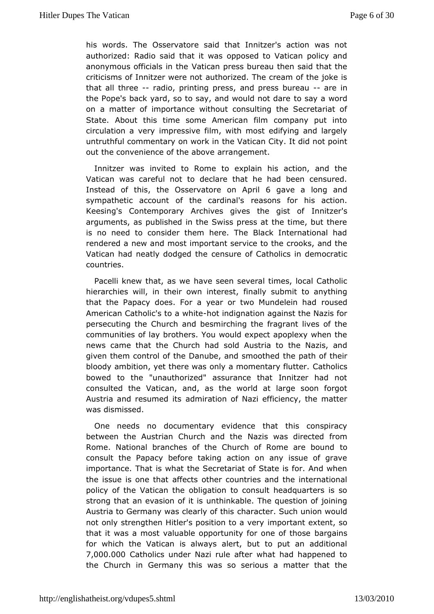hiswords. The Osservatore said that Innitzer's action was authorized: Raalid that it was opposed to Vatican policy and anonymous officialsV anticlane press bureau then said that the criticisms of Innitzer wetheonized. The cream of the joke is that all threeadio, printing pameds spress bure aue in the Pope's back yard, so to say, and woouslady naotwoolande on a matter of importance without consulting the Secretaria State. About this time some American film company put i circulation a ivmepry essive film, with most edifying and largely untruthful commentary onthweon Mathcan City. It did not point out the convenience of the ambovement.

Innitzer was invited to Rome to explain his action, and Vatican was careful not to declare that he had been censure Instead of thinse, Osservatore on 6 Apparvile a long and sympathetic account of the ceardomal's or his action. Keesing's Contemporary Archives gives Intrhinezegrist of arguments, as published in the Swiss press at the time, but is no need to consider them here. The Black International rendered a newmas dimportant service to the crooks, and the Vatican had neatly dodgendsuhe of Catholics in democratic countries.

Pacelli knew that, has we weeen several times, local Catholic hierarchies will, in their own inially result mit to anything that the Papacy does. For a year or two rMundelein had American Catholic's tehatwindtignation against the Nazis for persecuting the Church and besmirching the fragrant lives o communities aget brothers. You would expect apoplexy when the news came that the Chuscoldh Adstria to the Nazis, and given them control of the Danube, athole sponaol to their bloody ambition, yet there was only a morcanhaly cslutter. bowed to the "unauthorized" assurance that Innitzer had consulted the Vatican, and, as the world at large soon forgo Austria and resum admiitrsation of Nazi efficiency, the matter was dismissed.

One needs documentary evidence that this conspiracy between the Austrian Church Nazids twiss directed from Rome. National branches of the Church of Rtoome are bound consult the Papacy before taking action on any issue of g importancTehat is what the Secretariat of State is for. And wh the issue is oneaft the atts other countries and the international policy of the Vaticabolighedion to consult headquarters is so strong that an evasion wothin kiable. The question of joining Austria to Germany was cleachlaracttehris Such union would not only strengthen Hitler's positimompothotaantveenxytent, so that it was a most valuable opportunity for a manuscription of those for which the Vatican is always alert, but to put an addit 7,000.000 atholics under Nazi rule after what had happened the Church Gionrmany this was so serious a matter that the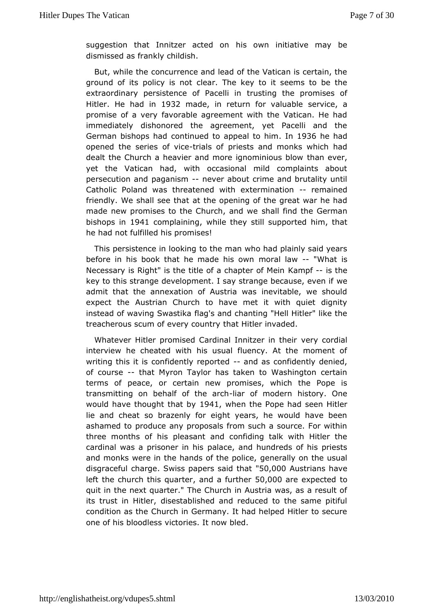suggestion that Innitzer abcitsed owem initiative may be dismissed as frankly childish.

But, while dbecurrence and lead of the Vatican is certain, th ground of its policyclean. The key to it seems to be the extraordinary persistence of tre extraor the promises of Hitler He had in 932 made in return for valuator bliece, a promise of a very favorable agreement with the Vatican. He immediately dishonored the agreement, yet Pacelli and German bishopschatinued to appeal to 19i3n6he had opened the series - of i a vice opfiests and monks which had dealt the Church a heavier and more igntominious blow yet the Vatican had, with occasional mild complaints ab persecution and pagames mer about crime and brutality until Catholi Poland was threatened with extermeim athoend friendly. We shall sæte the abpening of the great war he had made new promises to the Chursh, ald nid not ethe German bishops  $i$ i 041 complain, iwh ile they still suphpion r, tet that he had not fulfilled his promises!

This persistence in tho ooken man who had plainly said years before in his book that he madmeomals loaw-- "What is Necessary is Right" is the title of a Khampt fe-risofth Meein key to this strange development. I say strangewbecause, even admit that the annexation of Austria was inevitable, we sh expect the ustrian Church to have met it with quiet dignity instead of waving Swlaagtisk aand chanting "Hell Hitler" like the treacherous scum of everthat uthitting r invaded.

Whatever Hitler promised Cardinal Inmetrzyer coinditable in interview he cheated with his usual fluency. At the momen writing this it is confidently and  $\alpha$  as donfidently denied, of coursethat Myron Taylor has taken to Washington certair terms of peace, or cneenwaippromises, which the Pope is transmitting on behalf of-libe amnoldern history. One would have thought the 4, 1 by hen the Pope had Histelem lie and cheat so brazenly for eight years, he would have ashamed ptooduce any proposals from such a source. For with three months of plee iass ant and confiding talk with Hitler the cardinal was a prison paliance is and hundreds of his priests and monks were in the hands ofgteheemedlicen the usual disgraceful chas mgies papers said 50,000 Austrians have left the church this, quand tae minit  $\theta$  ; 000 are expected quit in the next quarter." The Church in Austria was, as a rest itstrust in Hitler, disestablished and reduced to the same p condition as Cthuerch in Germany. It had helped Hitler to secure one of his bloowd betassies. It now bled.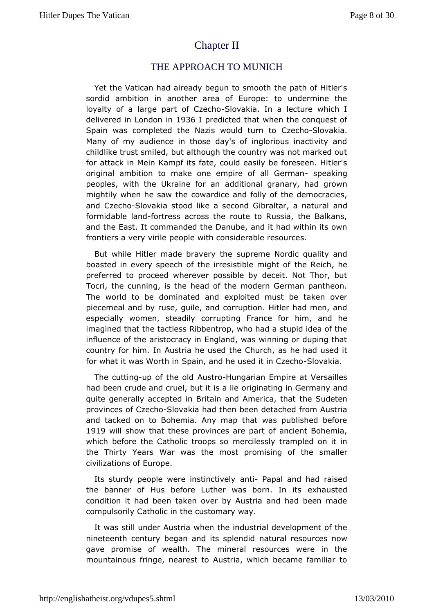# [Chapter II](http://englishatheist.org/vdupes5.shtmlChapter)

### THE APPROACH TOMUNICH

Yet the Vatican had already begun to smooth the path of Hi sordid ambition in another area of Europe: to undermine loyalty of a laage of Cze&hoovakia. In a lecture which I delivered in Lond @ B 6ilm redicted that when the conquest of Spain was completed the Nazis wo $\mathbb G$ uide ch $\mathbb S$ dho vackia. Many of my audience in those day's of inglorious inactivity childlike trust smiled, but although the country was not marke for attack Mein Kampf its fate, could easily be foreseen. Hitl original ambition ake one empire of all-Geemaking peoples, with the Ukrain**e**dfodtioannal granary, had grown mightily when he saw the cowardice the and defrolograpolies, and Czec\$bovakia stood like a second Gibralaand, a natural formidable lfaordress across the route to Russia, the Balkans and theast. It commanded the Danube, and it had within its o frontiers a very peigolle with considerable resources.

But while Hitler made brasveep ye the eNordic quality and boasted in every speech of the irresisthiebleemicinghtheof preferred to proceed wherever possible by deceit. Not Thor Tocri, the cunning, is the head of the modern German panth The world todbminated and exploited must be taken over piecemeal and by ruse, goud reupathodn. Hitler had men, and especially women, steadily corrupting in France hoer imagined that the tactless Ribbentrop, who had a stupid idea influence of the aristocracy in England, was winning or dupin country froim. In Austria he used the Church, as he had used for what it was W Smthin and he used it iSIO zakha.

The cuttiung of the Audstrblungarian Empire at Versailles had been crude and cruel, buotriigtinsatanlgein Germany and quite generally accepted in Britain and het mseudoeatenhat provinces of C-Sdowakia had then been detached from Austria andtacked on to Bohemia. Any map that was published befc 1919 will show the aster provinces are part of ancient Bohemia, which before the Catholic mines the sessaly trampled on it in the Thirty Years War was the most promsims and gerof the civilizations of Europe.

Its sturdy people were insathnt-cPlaypealy and had raised the banner of Hus before Luther was ebxohranustlendits condition it had been taken over by Austria and had been n compulsorily Catholic in the customary way.

It was still under Awhet the industrial development of the nineteenth century began and insatsup ad note slources now gave promise of wealth. The mineral resources were in mountainous fringe, nearest to Austria, which became famili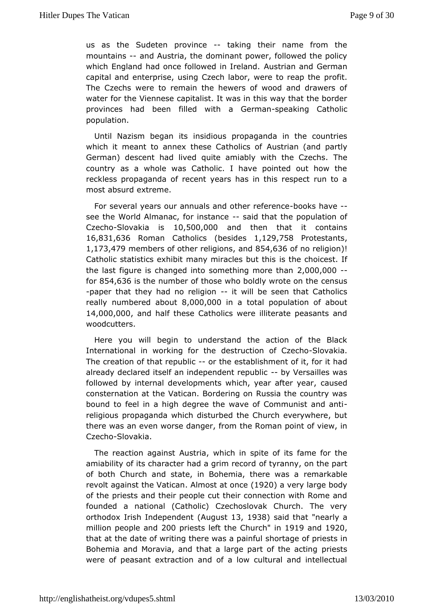us as th $\mathcal{S}$ udeten provin-ceaking their name from the mountains and Austria, domeinant power, followed the policy which England had once followed ustrian and German capital and enterprise, using Czech labor, www.enfeat.to reap the The Czechs were to remain the hewers of wood and drawers water for to Viennese capitalist. It was in this way that the bord provinces had brelded with a Gestpreaanking Catholic population.

Until Nazism begansidsous propaganda in the countries which it meant to annex these CAautshtorlians (cafnd partly German) descent had lived quite amiably with the Czechs. country as a whole was Catholic. I have pointed out how reckles propaganda of recent years has in this respect run to  $most$  absurvad  $rem$ e.

For several years our annuals and obhoeonk selfie ween ce see the World Almanac, for-isnasitdant at the population of  $Czech8$ lovakia  $150,500,000$  and then that it contains  $16,831,63$   $R$   $o$  m an  $C$  atholic  $\phi$  esides, 129, 75  $P$  rotestants 1,173,47m9 embers of other realingd&5n4s,636f no religiion Catholic statistics exhibit many miriactes bubithest. If the last figure is changed into something more than 2,000,000 - for $854,636$  sthe number of those who boldly we nost use on the -paper that they had no -reltigwiol hbe seen that Catholics  $r$ eallynumbered ab $\theta$ µ000,000 a total population of about 14,000,000 and hathese Catholics were illiterate peasants and woodcutters.

Here you wbidelgin to understand the action of the Black International in working decontructed ion of GS ecchookia. The creation of that reopublic stablishment of it, for it had already declared itself an indepen-dent Vreensuabilies was followed by internal developments which, years ead ter year, consternation at the Vatican. Bordering on Russia the countr boundo feel in a high degree the wave of Com-munist and an religious propaganida disturbed the Church everywhere, but there was an even worse dangerRomoam point of view, in  $Czech8$ lovakia.

The reaction against which in spite of its fame for the a miability of its character had ao tgitiym amencyo, roth the part of both Church and state, in Bohemia, rethmeart a bles a revolt against the .VAaltmico as at onle  $\mathcal Q$  a very large body of the priests and their people cut their connection with Rom founded mational (Catholic) Czechoslovak Church. The ver orthodox Irish Indep@Anudgeunst13, 1938 said thantearly a million people  $200$  priests left C thuere c'hin 1919 and 1920 that at the date of writing there wheraagainfupriests in Bohemia and Moravia, and that a large paptriestshe acting were of peasant extraction and of a low cultural and intelle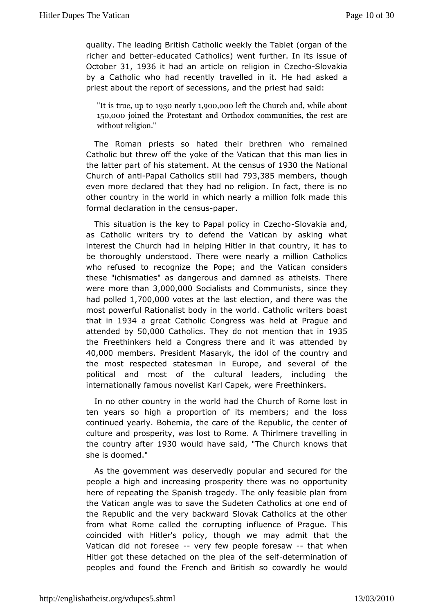quality. The leading British Catholic weekly the Tablet (organ richer abdtteeducated Catholics) went further. In its issue o Octobe3r1, 1936 it had n article on religion is InCovae kihao by a Catholic who had treacentled in it. He had asked a priest about the report of secession in estamand the pid:

"It is t,rupe tb930 nearly 900,00e0 the Church and, while about 150,000 ined the Protestant acroch @ uthioldecosx the rest are without religion."

The Roman priest stats their brethren who remained Catholic but threw off the yoke of htahtet  $M$  is the manner lies in the latter part of his statethendensuts  $980$ the National Church of  $\overline{a}$ Pratoial Catholics st $\overline{v}$ i $\overline{9}$ 13,13686 $\overline{a}$ nember shough even more declared that they had no religion. In fact, there other counitry the world in which nearly a million folk made th formal declaration cem suppaper.

This situation is the key to Papal policy aik in  $C_{\alpha}$  and  $C_{\alpha}$ as Catholic writers try to defend the Vatican by asking v interest the urch had in helping Hitler in that country, it has be thorough hyderstood. There were nearly a million Catholic who refused to recognPzoepet;heand the Vatican considers these "ichismaties" as dangerous and the eximations of The sere were more than 3,000,000 socialists and Communiculation had poll  $\frac{1}{2}$  down theset the last element in the was the most powerRationalist body in the world. Catholic writers boa that in 934 a greatatholic Congress was held at Prague and attended  $\mathbf{50}$ ,000 $\mathbf{c}$  atholids they dopt mention that  $935$ the Freethinkers held a Congress thereaetteamoded tbwyas 40,000 members President Masah vekidol of the country and the most respected statesman in Europe, and several of t political and most of tultthueral leaders, including the internationally famous novelist KarFr@æpheimkwere

In no other country in the world had the Churnch of Rome lo ten years so high a proportion of its members; and the I continued ye $B$ rd  $\mathfrak h$  emia, the care of the Republic, the center of culture and prosperity stwtaps Rome. A Thirlmere travelling in the country aff  $\theta\otimes 0$  would have, s'alite Church knows that she is doomed."

As the government was depsoeprubedrivand secured for the people a high and increasing prosperity ptheerte unitys no here of repeating the Spanish tragedy. The only feasible plar the Vatican angle was to save the Sudeten Catholics at one  $\epsilon$ the Repubalnd the very backward Slovak Catholics at the othe from what Rome called rtheting influence of Prague. This coincided with Hitler's policy, mthaoyugahdmwine that the Vatican did not fore seer of few people fo-r-etshaaw two hen Hitler got these detached on the pleast of milimeats enfor peoplessnd found the French and British so cowardly he wou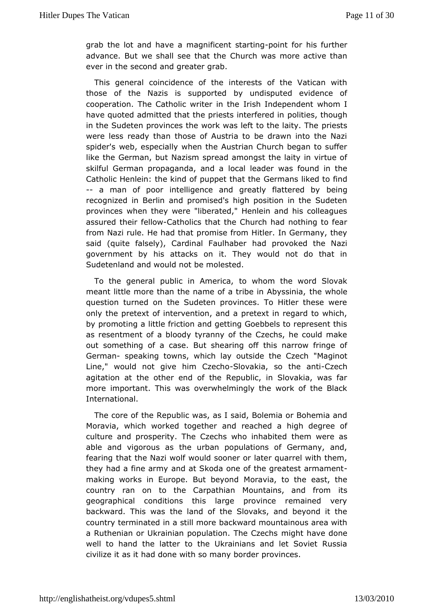grab the lot and hranaen aficent star onliming for his further advance. But we shall see Chhuath hwe as more active than ever in the second and greater grab.

Thisgeneral coincidence of the interests of the Vatican w those of the Nazis uppsorted by undisputed evidence of cooperation. The Catholic writer independent whom I have quoted admitted that the priest point tee berehdolongh in the Sudeten provinces the work was left ptroietshtes laity. The were less ready than those of Austria to be drawn into the spiderweb, especially when the Austrian Church began to suf like the GermanNabzutsm spread amongst the laity in virtue of skilful German propagandaocahde ader was found in the Catholic Henlein: the kind of pupCpeertmtahrast tirkeed to find -- a man of poor intelligence and greatlybelattered by recognized in Berlin and promised's high position in the Su provincewhen they were "liberated," Henlein and his colleagu assured the indowatholics that the Church had nothing to fear from Nazi rule. He hand that at from Hitler. In Germany, they said (quite falsely), Cardinalh&rouphrobeked the Nazi government by his attacks on it. They would not do that Sudetenland and would not be molested.

To the general public in to the montion the word Slovak meant little more than the name of a tribteheinw **Ablessinia**, question turned on the Sudeten provinces. To Hitler these onlythe pretext of intervention, and a pretext in regard to wh by promoting tule friction and getting Goebbels to represent th as resentment of a toylroandryy of the Czechs, he could make out something of a case. But shhei**a**rimagrroofw<sup>f</sup> fringe of German speaking towns, which lay outside Mtah  $\oplus$  in  $\odot$   $t$  ech Line," would not give him SIG vakhao, so the Czaenoth agitation the other end of the Republic, in Slovakia, was f more important. Thiosvewrawshelmingly the work of the Black International.

The core of Rtempublic was, as I said, Bolemia or Bohemia and Moravia, which worked taongotheached a high degree of culture and prosperity. The Czechs who eminwhearbeited able and vigorous as the urban populations of Germany, and fearint the Nazi wolf would sooner or later quarrel with the they had a fine aarmohyat Skoda one of the greatest armament making works in Europe. BuM obrawonand to the east, the country ran on to the Carpathian Mountaints, and from geographical conditions this large province remained backward. This thweasland of the Slovaks, and beyond it the country terminated in a sotablk mard mountainous area with a Ruthenian or Ukrainian population. The hCazeches one well to hand the latter to the Ukrainians and let Soviet  $R^{\parallel}$ civilize it as it had done with so many border provinces.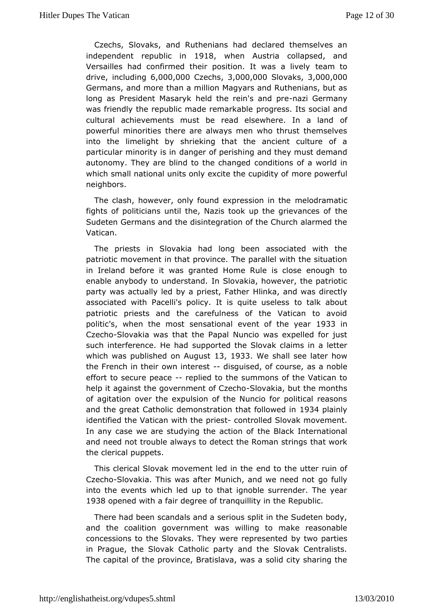Czechs, Slovakd, Ruthenians had declared themselves an independent republic **918** n when Austria collapsed, and Versailles had confirmed their position. tleamasoa lively  $div, e$  including  $000,000$  zechs  $0.00,000$   $S$ lovaks  $0.00,000$ Germanand more than a million Magyars and Ruthenians, but long as President Mhaesladrythe rein's a-molazpineGermany was friendly the republic made precognae kablets social and cultural achievements must be read elsewheorfe. In a land powerful minorities there are always men who thrust themse into theimelight by shrieking that the ancient culture of particular minoritovainsgen of perishing and they must demand autonomy. They are blind to thoson condition gresd of a world in which small national units only excitem bee coup whelm full neighbors.

The clash, however, only found exprmession mathee fights of politicians until the, Nazis took up the egrievances Sudeten Germans and the disintegration of the Church alarme Vatican.

The priests in Slovakia had long been associated with patriotic movement in that province. The parallel with the sit in Ireland afore it was granted Home Rule is close enough to enable anybody to undens Sandakia, however, the patriotic party was actually led by a pr $t$ elsinka, a take was directly associated with Pacelli's policy. It is oquate aboutss patriotic priests and the carefulness of the Vatican to a polit'sc when the most sensational event of 93t3nien year Czech Slovakiwaas that the Papal Nuncio was expelled for just such interference. Wepbadted the Slovak claims in a letter which was published on 1 & ulge us tween shall see later how the French in their own-idtsgesised, of coausrsae noble effort to secure peaptied to the summons of the Vatican to help it against the government Sbotv@keenchout the months of agitation wher the expulsion of the Nuncio for political reasons and the great Cademion astration that foll bene and the great Cademion is identified the Vatican pwiths to be trolled Slovak movement. In any case we are studying thte heachlian koffnternational and need not trouble always to detect the hRaom wax must rings the clerical puppets.

This clerical Slovak movement dedtonthe beutter ruin of Czech Solovakia. This was after Munich, and gow  $\ell$ unlaged not into the events which led up to that ignoble surrender. The 1938opened with a fair degree of tranquillity in the Republic.

There had breeandals and a serious split in the Sudeten body and the coalition govewas ewilling to make reasonable concessions to the Slovaks. They werbey reprovers antied in Prague, the Slovak Catholic party and the Slovak Centra The capital of the province, Bratislava, was a solid city shar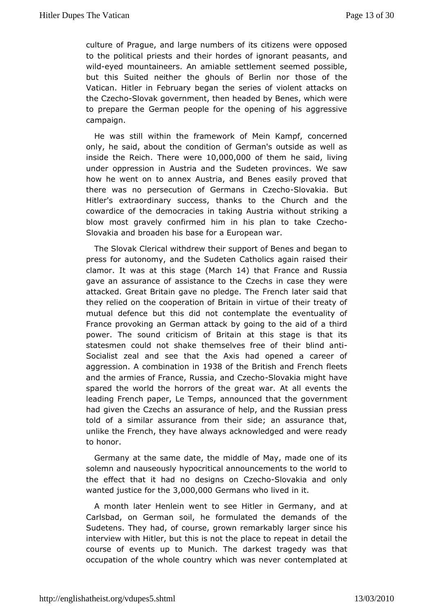culture Pofaque, and large numbers of its citizens were oppos to the political pamidstiseir hordes of ignorant peasants, and wildeyed mountaineers. An saentitademheent seemed possible, but this Suited neither the ahouls othoBserlorf those Vatican. Hitler in February began the series of violent attac the Czec&bovak government, then headed by Benes, which wer to prepare Gheerman people for the opening of his aggressive campaign.

He was swithin the framework of Mein Kampf, concerned only, he said, about the **condition an**'s outside as well as inside the Relicture wet $\theta$ ,000,000 the me said, living under oppression in Austria and the Sudeten provinces. We how he went on to annex Austria, and Benes easily proved there was poersecution of Germans in SI Cyzelcilao But Hitler's extraordinary stands to the Church and the cowardice of the democracies in tawkitmionualussttriikaing a blow most gravely confirmed him in his Cpzleamh to take Slovakia and broaden his base for a European war.

The SlovQkerical withdrew their support of Benes and began press for autonomytheanSoludeten Catholics again raised their clamorit was at this s(Magrech14) that France and Russia gave an assurance of assistance to the to begows rien case attacked. Great Britain gave no pledge. The French later sai they relied on the cooperation of Britain in virtue of their tre mutualdefence but this did not contemplate the eventuality France provoking eaman attack by going to the aid of a third power. The sound critiBirsimainofat this stage is that its statesmen could not shake themseltheesirfbelendofanti Socialist zeal and see that the Axis had opened a caree aggression combination 9 BrB of the British and French fleets and thærmies of France, Russia, ashlob Cazke ahmolight have spared the worldhothers of the great war. At all events the leading French paper, LenTheomopsed that the government had given the Czechs an assurance of R**luss**pianamp detshse told of a similar assurance from their side; an assurance unlike the French, they have always acknowledged and were ready tohonor.

Germany at the same date, the middle of May, made one of solemand nauseously hypocritical announcements to the world the effect that ino hadde signs on C-Seloc whan kia and only wanted justice for 0ton 0e, 000 ermanshollived in it.

A month later Henlein went to see Hitler imatGermany, and Carlsbad, on German soil, he formulated the demands of Sudetens. They, of course, grown remarkably larger since his interview with Hitleri, sbinst not the place to repeat in detail the course of events up to MundiachkesTthe ragedy was that occupation of the whole country whi**ch** nwears primat weed at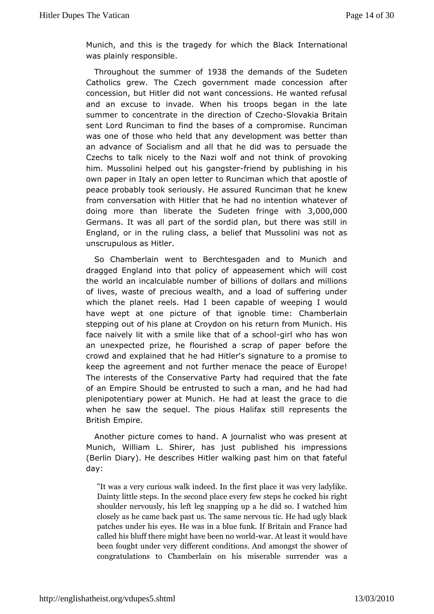Munich, and this is the tragedy for whind brightablack was plainly responsible.

Throughout the summer Bathedemands of the Sudeten Catholics grew. The Czech government maadfeteconcession concession, but Hitler did not want concessions. He wanted r and anexcuse to invade. When his troops began in the late summer to concentrated imedinang of C $\mathcal{Z}$ elowakia Britain sent Lord Runciman to find the cbansers moifs a. Runciman was one of those who held that any develop the amt was better an advance of Socialism and all that he did was to persuad Czechs talk nicely to the Nazi wolf and not think of provoki him. Mussolini hoe ulphe hdis gangstrieemd by publishing in his own paper in Italy an opten Riet to an which that apostle of peace probably took seriously. RHuencaismsaurretchat he knew from conversation with Hitler that he havchantoevieteonftion doing more than liberate the Sudeten 3,000,000 with Germanst was all part of the sordid plan, but there was still England, or in utlhing class, a belief that Mussolini was not as unscrupuloubliaber.

So Chamberlain went to Berchtesgaden and to Munich a draggedIngland into that policy of appeasement which will co the world in talculable number of billions of dollars and millions of lives, wasteer eccfious wealth, and a load of suffering under which the planet reelsbele ad capable of weeping I would have wept at one picture of that ig **Cole hebetihaen** stepping out of his plane at Croydon on his return from Munic face naively lit with a smile like thositrlow hao sto has own on an unexpected prize, he flourished a scrap of paper before crowd and explain and he had Hitler's signature to a promise to keep the agreement afrud thet menace the peace of Europe! The interests of the Conservative quarted had the fate of an Empire Should be entrusted to such had man and he plenipotentiary power at Munich. He had at least the grace t whenhe saw the sequel. The pious Halifax still represents Britishmpire.

Another picture comes to hand. A journalist who was preser Munich, William L. Shirer, has just published his impress (Berlin Diary)dederibes Hitler walking past him on that fatefu day:

"It wasvery curious walk indeed. In the first place it was v Daintyttle steps. In the second place every few steps he co should earvously, his left leg snapping up a he did so. I watched in closely as the back past us. The same nervous tic. He had u patches undeyebis He was in a blue funk. If Britain and Fran called his blumfif gthhte heave been -wanorw oAntidleast it would have been fought und teffer every t conditions. And amongst the show  $\epsilon$ congratulations to Chamm the slammiserable surrender was a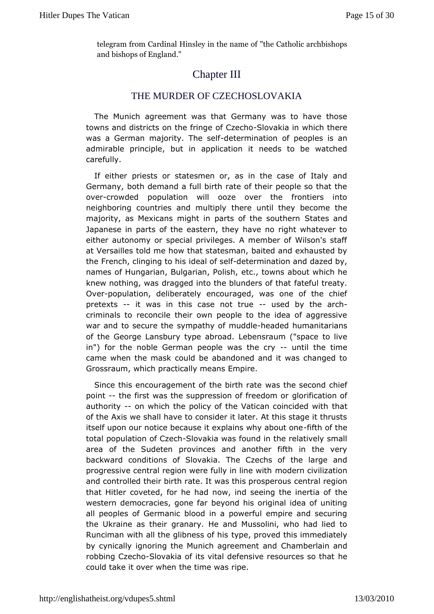telegram from Cardinal Hinsle'y the Cheethood ince anoth bishops and bishops of England."

## Chapter III

## THE MURDER OF CZECHOSLOVAKIA

The Muniagreement was that Germany was to have those towns and districts on t**o**te Creing Boovakia in which there was a German majority. -dieteersmeilniatioon peoples is an admirable principle, but in application it needs to be wat carefully.

If either priests or statesmen or, as in the case of Italy Germany, both demand a full birth rate of their people so that overcrowdedpopulation will ooze over the frontiers into neighboring countries and the until they become the majority, as Mexicans might in parts of State been so cauntothern Japanese in parts of the eastern, they have no right whatev either autonomy or special privileges. A member of Wilson's at Versailles is me how that statesman, baited and exhausted b the French, clinging decalhost solved flermination and dazed by, names of Hungarian, Bulgarianc. Pod ws hs about which he knew nothing, was dragged into the bluantole to the allowing. Ove-population, deliberately encouraged, was one of the ch pretexts-it was in this case no-tubraude by the -arch criminals reconcile their own people to the idea of aggressive war and to securseynhpeathy of muhdedaheded humanitarians of the George Lansbury typhebensadum ("space to live in") for the noble German people was nttilteectyme came when the mask could be abandoned and it was changed Grossraumhich practically means Empire.

Since this encouragement of the absirtth rate cond chief point-the first was the suppression ofglfoeid doamliom of authority on which the policy of the Vatican dointcided with of the Axis we shall have to consider it later. At this stage it itself upon our notice because it explains if when yo tabloat one totap opulation of CSZI cowakia was found in the relatively small area of thSeudeten provinces and another fifth in the very backward conditions of STIbova Cizaechs of the large and progressive central region were fulmhyodiner hince willitzhation and controlled their birth rate. It was theirst marlose perimonus that Hitler coveted, for he had now, ind seeitmone the inertia or western democracies, gone far beyond his original idea of u allpeoples of Germanic blood in a powerful empire and secu the Ukraine as ghaenary. He and Mussolini, who had lied to Runciman with all the glibng ps, op rionsed this immediately by cynically ignoring the Munich agChemberlamind and robbing Cze&hoovakia of its vital defensive resohuerces so that could take it over when the time was ripe.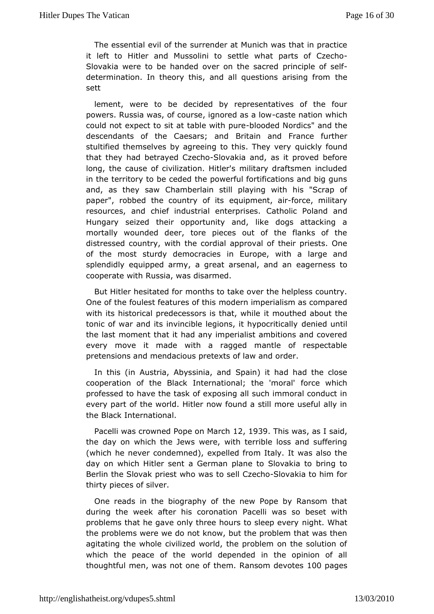The essential evils of remeder at Munich was that in practice it left to Hitler and Mussseoutlinei wohat parts of-Czecho Slovakia were to be handed over oppriheipslæc poef-dself determination. In theory this, and all questibles arising from sett

lement, were to be decided by representatives of the  $f_{\perp}$ powersQussia was, of course, ignored sae a altown which could not expessitt taot table with blood the detailed Nordics" and the descendants of the CaesaBsitain and and France further stultified themselves by agreeing to the uscKT he fou wredy that they had betrayed-SCave a high and, as it proved before long, the cause of civilization. Hitler's military draftsmen in in the erritory to be ceded the powerful fortifications and big and, as they Camamberlain still playing with his "Scrap of paper", robbed the countreyquoifpmitesnt,-fooirce, military resources, and chief industrial Gathopiris Psoland and Hungary seized their opportunity and, like dogs attacking mortally wounded deer, tore pieces out of the flanks of the distressed couwaithy, the cordial approval of their priests. One of the most sturdy democracuse be, with a large and splendidly equipped army, a great arseeargeelr, neasd taon cooperate with Russia, was disarmed.

But Hitler hesitated into to take over the helpless country. One of the foulest featurmeedcefrinthiims perialism as compared with its historical predecessors is mhoauth, who hide bout the tonic of war and its invincible legions, dienhig pour tilcally the last moment that it had any imperialist ambitions and cov every move it made with a ragged mantle of respectable pretensions manddacious pretexts of law and order.

In this (in Austria, AbyssSippiaain) anid had had the close cooperation of the Black International for the ewinnicar hal' professed to have the task of exposing all such immoral cond every part of the world. Hitler now found a still more useful the Blackternational.

Pacelli was crowned Pope 1 am M3a9 Tchis was said, the day on which the Jews were, with terrible loss and suff (which he ver condemned), expelled from Italy. It was also the day on which Hitlea Seemman plane to Slovakia to bring to Berlin the Slovak priest who Gyzescholovealkia to him for thirty pieces of silver.

One reads in builgetraphy of the new Pope by Ransom that during the week after his coacealtion as so beset with problems that he gave only three hours ntioghstle Noth avery the problems were we do not know, but the problem that was agitating the whole civilized world, the problem on the solut which theeace of the world depended in the opinion of all thoughtful men, was nothemeRansom devott@@pages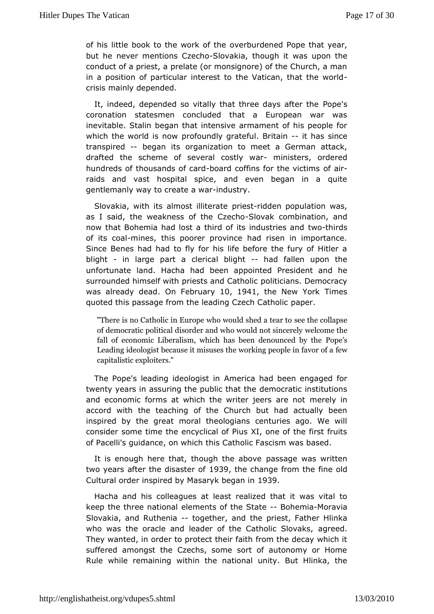of his little book to the work roburd ened Pope that year. but he never mentions-SCI aveakion, though a situpon the conduct of a priest, a prelate (or monsignore) of the Church, in a position of particular interest to the Vatican, that the crisismainly depended.

It, indeed, depended so vitally that three **Polacy**'s after the coronation statesmen concluded that a European war w inevitable. Sbækjan that intensive armament of his people for which the world iprofowndly grateful. - Bitithians since transpired began its ganization to meet a German attack, drafted the scheme of several-cm istigatewar ordered hundreds of thousands bootarcolarins for the ovications raids and vast hospital spice, and even began in a qu  $g$  entlemanly two a  $g$  reate a-innalustry.

Slovakia, with its almostprile stein daten population was, as I said, the weakness of  $t$ **8** bo Cazkecombination, and now that Bohemia had lost a third of its twined buish that and of its comaines, this poorer province had risen in importance Since Benes had had to fly for his life before the fury of H blight in large part a clerical--bhiaght fallen upon the unfortunate land. Hacbaehad ppointed President and he surrounded himself with priests **and the almoslic politican** emocracy was already deand Februatrow 1941 the New YoTrik mes quoted this passage from the leading  $\triangle$ zpech Catholic

"There is no Catholic in Europe who sweuthdes theold and stear to of democratic political disorder and who welwounled theat sincerel fall of economic Liberalism, which has beepe'dsenounced b Leading ideologist because it misuses the wfoewking people in capitalistic exploiters."

The Pope's leading idecAlmonetrist ainhad been engaged for twenty years in assuring the pu**ble motheat ithe institutions** and economic forms at which the writer meeetsy aime not accord with the teaching of the Church but had actually t inspiredaly the great moral theologians centuries ago. We w consider some time ad y elical of Pius XI, one of the first fruits of Pacelli's quidance, ton is which this catholic Fascism was based.

It is enough here that, though ptahses and phowe as written two years after the disdassethef change from inteeded Cultural order inspired by Masany B Sbegan in

Hacha and chosleagues at least realized that it was vital to keep the three nadiomaeInts of the StBaothemiMaloravia Slovakia, and Ruthetogether, athe priest, Father Hlinka who was the oracle and leader of the Caahodied.Slovaks, They wanted, in order to protect their faith from the decay wh suffered amongst the Czechs, some sort of autonomy or Ho Rule while remawnithin the national unity. But Hlinka, the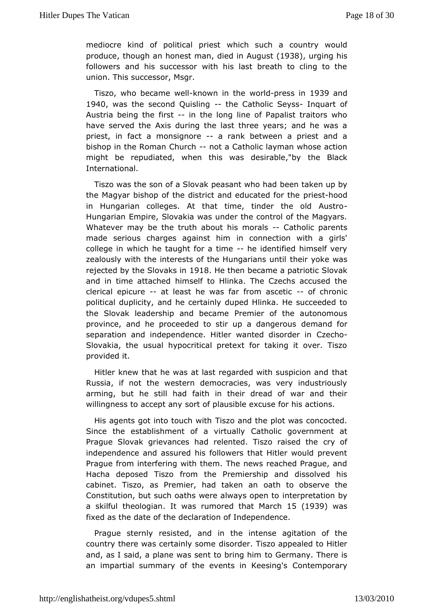mediocre kind of politicawhinchiesuch a country would producehough an honest dmeach in Aug (1938), urging his followers and his successor with his last breath to cling t union. This successor, Msgr.

 $T$ iszo, who becam-kenwwh in twerlobress in $939$  and 1940 was the second Quist hing Catholic Seyguart of Austria being the-firmstthe long line of Papalist traitors who have served the Axis during the last three years; and he w priest, in factomasignorea rank between a priest and a bishop in the Roman -Ghutch atholic layman whose action might be repudiated, when this was dheirBbdek"by International.

Tiszo was the son of a Slovak peabeen wah behand p by the Magyar bishop of the district and  $e\phi$  uice as the odd or the in Hungarian colleges. At that time, tinder-the old Aust Hungarian Empire, Slovakia was under the control of the Mag Whatever may the truth about his moCrathsolic parents made serious charges against comimection with a girls' college in which he taught folnead time tied himself very zealously with the interests of the Huthgarriyaon kse uwhaish rejected by the Slovaks He then became a patoivoakc and in time attached himself to Hlinka. The Czechs accused clericabicure at least he was far from - as cetinconic political duplamidyhe certainly duped Hlinka. He succeeded to the Slovak leadership and P beema erre of the autonomous province, and he proceeded to stir updematand géoous separation and independence. Hitler wanted a chioorder in Slovakia, the usual hypocritical pretext for taking it over. provided it.

Hitler knew that he was at last regarded wittmasuspicion and Russia, if not the western democracies, was very industric arming, but still had faith in their dread of war and their willingness to accept tany plausible excuse for his actions.

His agents got into to **T** $\dot{x}$  and the plot was concocted. Since the establishment of a Cartihroutiad I ygovernment at Prague Slovak grievances had relented. Tosyoofaised the independence and assured his followers that Hitler would pr Praguferom interfering with them. The news reached Prague, a Hacha deposed Tiemo the Premiership and dissolved his cabinet. Tiszo, as Premier, had at aken abserve the Constitution, but such oaths were always repremiinto by a skilful theololgiamas rumored that N5anch39 was fixed as the date of the declaration of Independence.

Prague stermely isted, and in the intense agitation of the country there was certaidly osdene. Tiszo appealed to Hitler and, as I said, a plane was sent too Govermangamhym There is an impartial summary of the events Cron**Ke** enspion real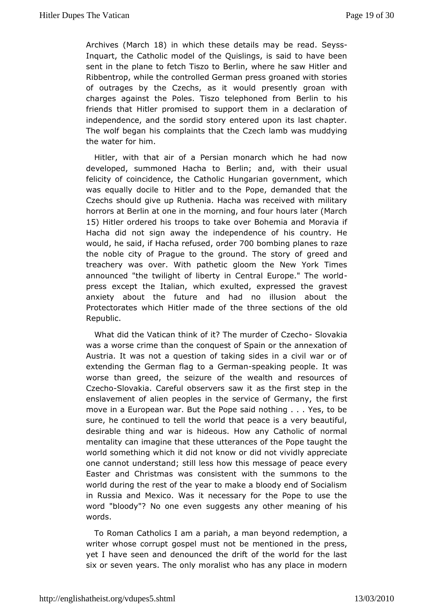Archive March 8) in which these details may S be expead Inquart, the Catholic model of the Quislings, is said to have sent in to heane to fetch Tiszo to Berlin, where he saw Hitler and Ribbentrop, while the controlled German press groaned with stories of outrages by the Czechwoou as put presently groan with charges against the Poles. Tiszo telBpehbined of home friends that Hitler promised to support them in a declaration independence, and the sordid story entered upon its last  $\mathsf{ch}\mathcal{E}$ The wolf begias complaints that the Czech lamb was muddying the water for him.

Hitlerwith that air of a Persian monarch which he had no developed, summoned Habetalintp and, with their usual felicity of coincidence, the Cathogic velrummgeant a nwhich was equally docile to Hitler and to the Popethelemanded tha Czechs should give up Ruthenia. Hacha was received with mi horrors Baetrlin at one in the morning, and four hours later (Ma 15) Hitler ordered roops to take over Bohemia and Moravia if Hacha did not sign awion whether dence of his country. He wouldhe said Hacha refusered the  $700$ bombing planes to raze the noble city of Prague to the groundgreed and y of treachery was over. With pathetic gloom the New York Tin announced the twilight of liberty in Central Europe." The worl press except the Iwahiah, exulted, expressed the gravest anxiety about the future and ihastiono about the Protectorates which Hitler made of the three olsdections of the Republic.

What did the Vatican think of it? The mu\$dwwadxfiaCzecho was a worse crime than the conquest of Spain or the annexati Austria. It was not a question of taking sides in a civil war extendinge German flag to a -Gpeemlaimg people. It was worse than greedsetizere of the wealth and resources of Czech Solovakia. Careful observears the ew fitst step in the enslavement of alien peoples in the servitchee of in Stermany, move in a European war. But the Pope said nothing . . . Yes, sure, he continued to tell the world that peace is a very bea desirabibing and war is hideous. How any Catholic of norm mentality can imagine the streaming of the Pope taught the world something which it did nobitd knootwv bwidly appreciate one cannot understand; still less how the same essage of Easter and Christmas was consistent with the summons to worlduring the rest of the year to make a bloody end of Social in Russia  $\Delta$  meckico. Was it necessary for the Pope to use the word "bloody"? No onsuggests any other meaning of his words.

To Roman Catholics I am a mpaniable, yond redemption, a writer whose corrupt gospel must not bethmeeptecs nsed in yet I have seen and denounced the drift of the world for the sixor seven years. The only moralist who has any place in mo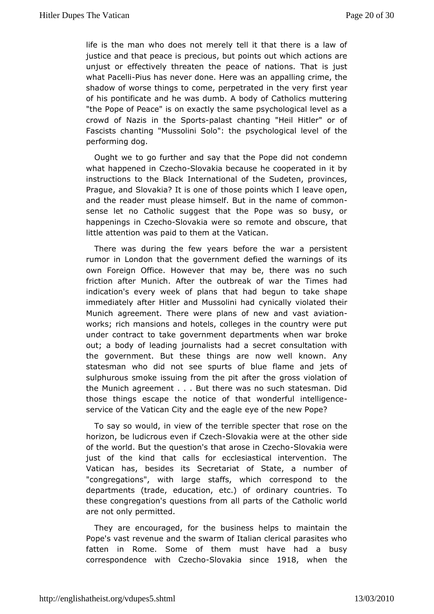life is the  $w$  apdoves not merely tell it that there is a law of justice and that posseious, but points out which actions are unjust or effectively threme and the nations. That is just what Pac $\mathbf e$ liluis has never done. Here exposured in a crime, the shadow of worse things to come, perpetrafiest invettore very of his pontificate and he was dumb. A body of Catholics mutt "the Pope of Peace" is on exactly the same psychological lev crowd dazis in the Sparast chanting "Heil Hitler" or of Fascists chan Mongsolini Solo": the psychological level of the performing dog.

Ought wto go further and say that the Pope did not condem what happened ziench Slovakia because he cooperated in it by instructions to the Ineternational of the Sudeten, provinces, Prague, and Slovakia? Itths some pooints which I leave open, and the reader must please himselman Beutoin ctohnemon sense let no Catholic suggest that the Pope was so busy happenings in C<sup>Sechakia</sup> were so remote and obscure, that little attenwias paid to them at the Vatican.

There was during the few years wheefore publication t rumor in London that the government defied the warnings of own Foreign Office. However that may be, there was no s friction afMaurnich. After the outbreak of war the Times had indication's every week tchfatplans begun to take shape immediately after Hitler and Mucsysnoibianlilyhavdolated their Munich agreement. There were plans of aneivatiaomd vast works; rich mansions and hotels, colleges in the country wer undecontract to take government departments when war brok out; a body of leapodinnegalists had a secret consultation with the government. But these thriologys waerle known. Any statesman who did not see spurts of blue flame and jets sulphurous smoke issuing from the pit after the gross violati the Muniagreement . . . But there was no such statesman. Di those things escapreottice of that wonderful intelligence service of the Vatican City aned the feagle ew Pope?

To say so would, in view of the terriblesspentehethat horizon, be ludicrous eve $\mathbf{s}$  idvestigation at the other side of the world. But the question's that a Soloweaknia Cwecho just of the ind that calls for ecclesiastical intervention. The Vatican has, besides ecrestariat of State, a number of "congregations", with large staffosr, resombolend to the departments (trade, education, etc.) of ordinary countries. these congregation's questions from all parts of the Catholic are not opley mitted.

They are encouraged, for the business helps to maintain Pope's vast revenue and the swarm of Italian clerical parasite fatten inRome. Some of them must have had a busy correspondence with Czecho -Slovakiasince1918, when the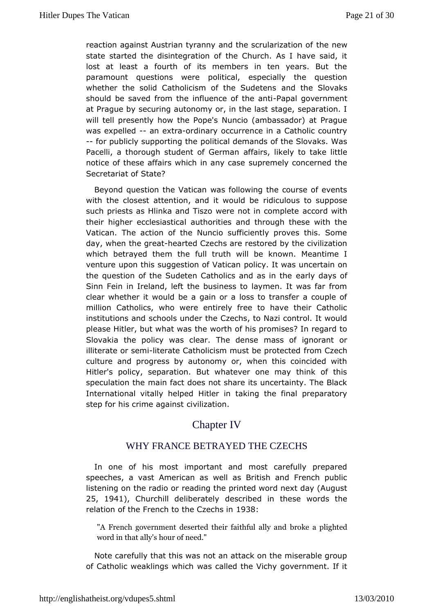reaction against Austrian tyranny and the tshoerunleawization of state started the disintegration of the Church. As I have sa lostat least a fourth of its members in ten years. But the paramount questions pweitecal, especially the question whether the solid Catholicism of the dSundeet  $\theta$  hosvaks should be saved from the influence appfaltheopowenthiment at Prague by securing autonomy or, in the last stage, separat will ted tesently how the Pope's Nuncio (ambassador) at Prag was expelled nextraordinary occurrence in a Catholic country --for publicly supportoply the demands of the Slovaks. Was Pacelli, a thorough student affaGiesmarkely to take little notice of these affairs which stop anew clays concerned the Secretariat of State?

Beyond question the Wasid amilowing the course of events with the closest attention, and itdixcaulous beto suppose such priests as Hlinka and Tiszo were **ac**toind comminue te their higher ecclesiastical authorities and through these with Vatican. The action of the Nuncio sufficiently proves this. day, when gheahearted Czechs are restored by the civilization which betrayed them ultheruth will be known. Meantime I venture upon this suggestion  $p$ ofii vaticta was uncertain on the question of the Sudeten Catholics ean by adsay is office Sinn Fein in Ireland, left the business to laymen. It was far clear whether it would be a gain or a loss to transfer a cou millio Catholics, who were entirely free to have their Catho institutions sachools under the Czechs, to Nazi control. It woul please Hitler, but what was the of his promises? In regard to Slovakia the policy was clear. mTahses doefnsignorant or illiterate or-bieterriate Catholicism must befrom teletecch culture and progress by autonomy or, when this coincided Hitler's policy, separation. But whatever one may think of speculation main fact does not share its uncertainty. The Blac International vitally Hielped in taking the final preparatory step for his crime agodingstion.

# Chapter IV

## WHY FRANCE BETRAYED THECZECHS

In one of his most important and most carefully prepar speeches, vast American as well as British and French publ listening on the radio diong the printed word next day (August 25, 1941, Churchill delibedætsed wibed in these words the relation of the French to the SC3z8echs in

"A French government deserted thebi**rokæitafpligaht**yedand word in that ally's hour of need."

Notecarefully that this was not an attack on the miserable gr of Cathowieaklings which was called the Vichy government. If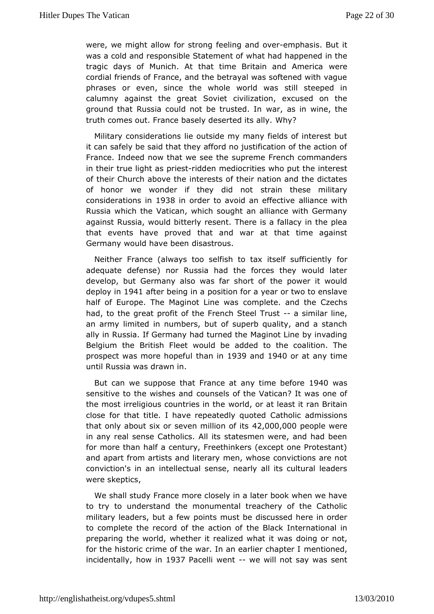were, we might allow of to a feeling and mon wheasis. But it was a cold and responsible S waltem bad difappened in the tragic days of Munich. At that time Britaiweand America cordial friends of France, and the betraval was softened with phrasesr even, since the whole world was still steeped i calumny against the Sopweinet civilization, excused on the ground that Russia could not bewtaus taesd in nwine, the truth comes out. France basely des white ?d its ally.

Military considerations lie outside my many fields of intere itcan safely be said that they afford no justification of the ac Francendeed now that we see the supreme French commander in their true light eassidden mediocrities who put the interest of their Church aboneethests of their nation and the dictates of honor we wonder if they sdirchinnothese military consideration1s93.86 in order to avoid an eafflieacnticvee with Russia which the Vatican, which sought an alliance with Ger against Russia, would bitterly resent. There is a fallacy in the thatevents have proved that and war at that time agains Germany would havelisastrous.

Neither France (always too selfish to tax iftesrelf sufficient adequate defense) nor Russia had the forces they would I develop, bout many also was far short of the power it would deploy 1094 1 after being pions ation for a year or two to enslave half of Europe. The Maginot commpeleweas and the Czechs had, to the great profit of the Frencha Sstieneila Truisnte, an army limited in numbers, but of superb quality, and a st ally in Russia. If Germany had turned the Maginot Line by inv Belgium the bitish Fleet would be added to the coalition. The prospect was more htapefun 939 and 940 or at any time until Russia was drawn in.

But can we uppose that France at any time of Obweard or sensitive to the wishcesumesmeds of the Vatican? It was one of the most irreligious countwies din on heat least it ran Britain close for that title. I have repea Cead hyolocal durissions that only about six or seven m42li@ @00o0@i@sople were in any real sense Catholics. All its statesmen were, and had for more than half a century, Freethinkers (except one Prote: and apafrtom artists and literary men, whose convictions are r conviction's im tachlectual sense, nearly all its cultural leade were skeptics,

Weshall study France more closely in a later book when we l to try twonderstand the monumental treachery of the Catholi military leaders, bupcanfit swmust be discussed here in order to complete the record of the haed **B** banc lofin ternational in preparing the world, whether it realized  $\phi$  in  $\phi$  ad rith owtas for the historic crime of the war. In an emaernhiteioncehda.pter I incidentahlow in 937 Pacelli wente will not say was sent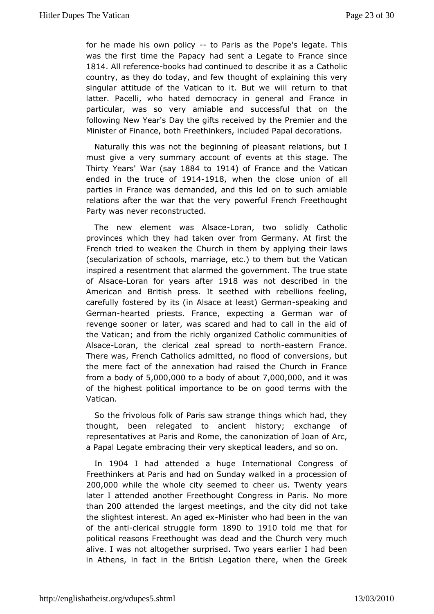for he made his own-ptoolievaris as the Pope's legate. This was the fitrismte the Papacy had sent a Legate to France sinc 1814All referebooks hadntinued to describe it as a Catholic country, as they do today thanud few fexplaining this very singular attitude of the Vatican twill restuut meto that latter. Pacelli, who hated democracy in general and Franc particular, was so very amiable and successful that on following NY exar's Day the gifts received by the Premier and the Minister of Financerebedthinkers, included Papal decorations.

Naturally this was mote to the beginning of pleasant relations, but I must give a very summary accoveunts aft this stage. The Thirty YeaWsar(say1884 to 1914 of France and Vahtecan ended in the trud@1@1918 when the close union of all parties Finance was demanded, and this led on to such amiab relations after thteh awtatrhe very powerful French Freethought Party was neveonstructed.

The new element was-LAblrsaance two solidly Catholic provinces which they had taken over from Germany. At first French tried taken the Church in them by applying their laws (secularization of smotabroids, etc.) to them but the Vatican inspired a resentment that abcorvered mibet. The true state of Alsaberan for years 1a91 & mwas nodescribed in the American and British press. It seethed with rebellions fee carefully fostered by its (in Alsace atspeezaskti)n @Gearmodan Germahearted priests. France, expecting a German war c revenge soone atcom, was scared and had to call in the aid of the Vatican; and from the gaint right Catholic communities of Alsacheoran, the clerical zeal sprometaledastocern France. There was, French Catholics admittecobnwershioonos, obut the mere fact of the annexation had raised the Church in Fr from a body  $5,0$  folo, 00to a body of  $\overline{a}$  to  $0.0,0$  and it was of the highpeosititical importance to be on good terms with the Vatican.

So therivolous folk of Paris saw strange things which had, t thought, been legated to ancient history; exchange of representatives at Paris and canoneization of Joan of Arc, a Papal Legate embracing their vleerayd sksptained Iso on.

In 1904 I had attended a huge International f Congress Freethinkers at Paris and had on Sunday walked in a process 200,000hile the whole city seemed to cheer us. Twenty yea later I attended anForeheethought Congress in Paris. No more than200 attended the largest maemedinings city did not take the slightest interest. A-mMiangiedeexwho bheaedh in the van of the a-orterical struggle 1890 to 1910 told me that for political reasons Freethought was dead and the Church very alive. I was anto otgether surprised. Two years earlier I had bee in Athens, in fact Binitish Legation there, when the Greek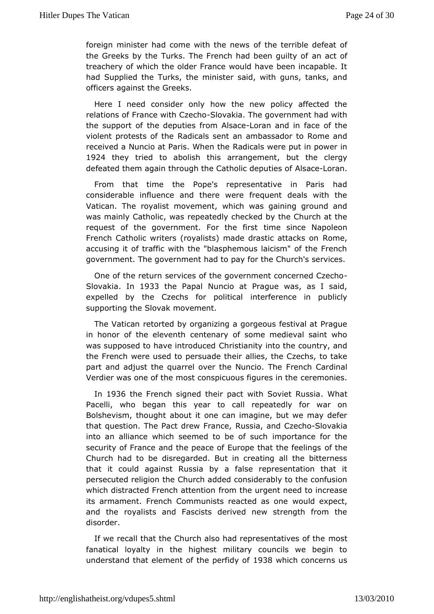foreign minister had come with the hearsible defeat of the Greeks by the Turks. The French had a becent oputilty of treachery of which the older France would have been incapat hadSupplied the Turks, the minister said, with guns, tanks, officers agathes tGreeks.

Here I need consider only how the new policy affected relations of France wit $\mathbf S$ IG zakhao. The government had with the supportthoef deputies from -Absaneand in face of the violent protests Radhoeals sent an ambassador to Rome and received a Nuncio at Paris R When the ere put in power in 1924 they tried to abolish this arrhamongthe meenctlergy defeated them again through the CathoAils adedepoutaines of

From that time the Pope's representative in Paris had considerable influence and there were frequent deals with Vatican. Trhowalist movement, which was gaining ground and was mainly Catholine, pwasedly checked by the Church at the request of the government. Fortime esfinge Napoleon French Catholic writers (royalists) made drastic, attacks on accusing it of traffic with the "blasphemous laicism" of the F government. The government had to pay for the Church's serv

One othe return services of the government concerned Czech Slovakian 1933 the Papal Nuncio at Prague was, as I said, expelled by the Czechs forindelite interference in publicly supporting the Slovak movement.

The Vaticraentorted by organizing a gorgeous festival at Pragu in honor of the eleveentemary of some medieval saint who was supposed to have in Crord stime on ity into the country, and the French were used to persaulaidess, theer Czechs, to take part and adjust the quarrel over the FNeuncchio Calriblenal Verdier was one of the most conspicuous efectuous is the

In 1936 the French signed their pact with Sowhat Russia Pacelli, who began this year to call repeatedly for war Bolshevism, thoauto phut it one can imagine, but we may defer that question. The Pact dreRw Francend CzSelowakia into an alliance which seemed toimbeoutansun hine the security of France and the peace of Europe of halte the feelings Church had to be disregarded. But in creating all the bitte that itould against Russia by a false representation that persecuted religion uthen added considerably to the confusion which distracted French fattmenthimenurgent need to increase its armament. French Communists reaxed and lasex poencet, and the royalists and Fascists derived new strength from disorder.

If we recall that the Church also had reprementatives of the fanatical loyalty in the highest military councils we begi understanhdat element of the pe1r99 i3d8 who fich concerns us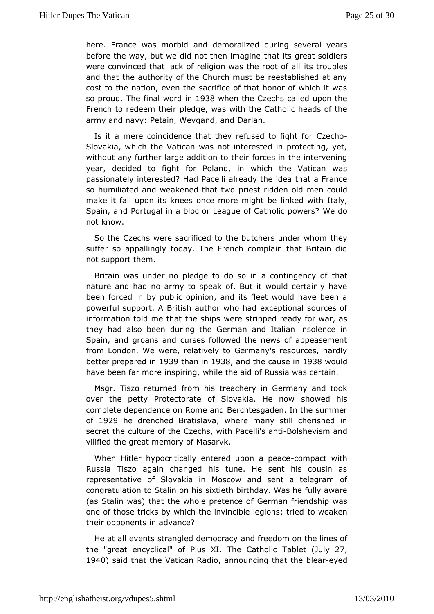here. France was mand bidemoralized during several years before the way, but we did not theatimagine at soldiers were convinced that lack of religion was ts hterorupholtes of all and that the authority of the Church must be reestablished a cost to the nation, even the sacrifice of that honor of which so proudhe final world93B when the Czechs called upon the French to redeemptedgre, was with the Catholic heads of the  $army$  and navy: Petain, Wey  $\Phi$  and  $\Phi$ 

Is it a mere coincidence that they refus Cextecto ofight for Slovakia, which the Vatican was not interested in protecting without any further large addition to their forces in the interv year, decided to fight for Poland, in which the Vatican w passionately interested  $\mathbf P$  acelli already the idea that a France so humiliated and weakened ptheastrit wooden old men could make it fall upon its knees once moimekendiquomitth be taly, Spain, and Portugal in a bloc or League of Weatholic powers? not know.

So the Czechs were sacrificed to the butchtenesy under whom suffer so appallingly today. The French complain that Britain notsupport them.

Britain was under no pledge to do so in athcommitingency of nature and had no army to speak of. But it would certainly been forciend by public opinion, and its fleet would have been powerful suppoBtitAsh author who had exceptional sources of information told me that twheeres hsitor sipped ready for war, as they had also been during the Germanin som deniann Spain, and groans and curses followed the news of appease fromLondon. We were, relatively to Germany's resources, hall better prepared 38than in 938 and the causie 98 n8 would have been far more inwspirentone aid of Russia was certain.

Msgr. Tiszo returned ftroemachiesry in Germany and took over the petty Protectorate of Slova ksihao.welde hniosw complete dependence on Rome and Berchtesgaden. In the sum of 1929he drenched Bratislava, where many still cherished secret the culture Cozfethins, with PacelBiossametwism and vilified the great me**masarok**.

When Hitler hypocritically entered ucpompactpewaithe Russia Tiszo again changed his tune. He sent his cousir representative Slovakia in Moscow and sent a telegram of congratulation to Stalisn xon he this birthday. Was he fully aware (as Stalin was) that the whole **Geerme and erachlone standing was** one of those tricks by which the invincibilo weegaloems; tried their opponents in advance?

He at all events strangled demot of cene down on the lines of the "great encyclical" of Pius XI. The Clautily 20 Tic  $1940$  said that the Vatica, nanR nacoluincing that blehae eyed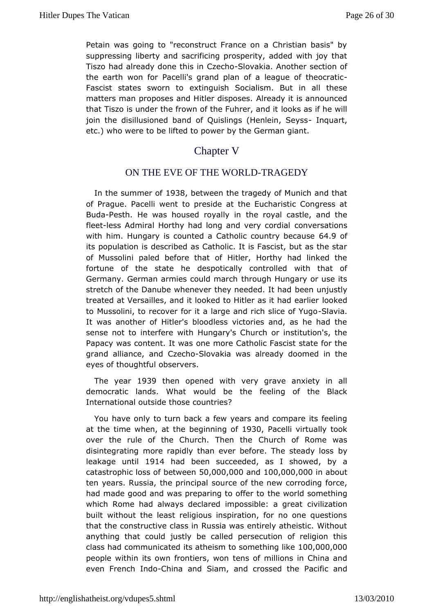Petain was going to "reconstruct France on a Christian basi suppressing liberty and sacrificing prosperity, added with jo Tiszo hadready done this in-Slovakioa. Another section of the earth won P factelli's grand plan of a league- of theocratic Fascist states swoer ntinguish Socialism. But in all these matters man proposes and HitleArlice adopsies is announced that Tiszo is under the frown of the Ibakseas and ditwill join the disillusioned band of Quislings (Hrenberth, Seyss etc.) who were to be lifted to power by the German giant.

## Chapter V

### ON THE EVE OF THE WORLDTRAGEDY

In theummer  $\phi$  038 between the tragedy of Munich and that of Prague. Pacelliow permetside at the Eucharistic Congress at Buda Pesth. He was housed rowall wo yin all castle, and the fleetess Admiral Horthy had long and coven rye csoardicants with himHungary is counted a Catholic cou6t4r. @ objecause its population is described as Catholic. It is Fascist, but as of Mussolini paled before that of Hitler, Horthy had linked fortune of tshteate he despotically controlled with that of Germany. German armies cound domanch ungary or use its stretch of the Danube whenever they neeesedne ounjust had treated at Versailles, and it looked to Hitleloaked had earlier to Mussolini, to recover for it a large and -Silah islice of Yugo It was another of Hitler's bloodless victories and, as he had sense notimoterfere with Hungary's Church or institution's, the Papacy was content. ohte whas re Catholic Fascist state for the grand alliance, and Sloven a was seady doomed in the eyes of thoughtful observers.

The yea1r939 thenopened with very grave anxiety in all democratic lands. What wouldfebeingheof the Black International outside those countries?

You have otmolyturn back a few years and compare its feeling at the time when, begimening 1930 Pacelli virtually took over the rule of the Church. CThuernchthoef Rome was disintegrating more rapidly than ever before.  $b\overline{\psi}$  he steady loss leakage unti9114 had been succeeded showebdy a catastrophic lobsest wore e5n0,000,00a0nd100,000,00m0 about ten years. Russia, the sporum ciep and the new corroding force, had made good and was preparing hteo wooffeld soomething which Rome had always declared impossiblezation eat built without the least religious inspiration, for no one que that the constructive class in Russia was entirely atheistic.  $\lambda$ anythint hat could justly be called persecution of religion t class had communits at the eism to some thing  $0,000$ people within its own fronttieens, owto millions in China and even French -Chhdiona and Siam, and crosPsaecdfitcheand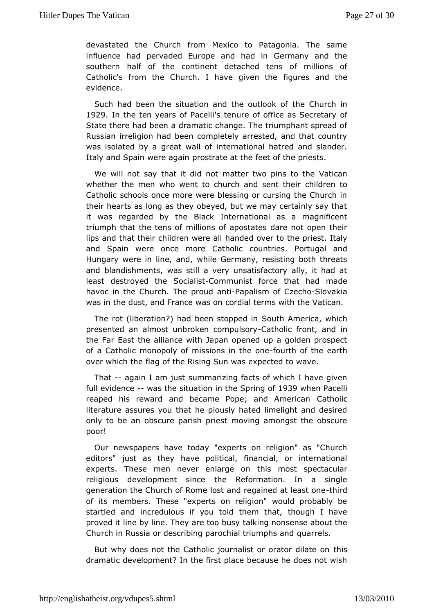devastated the Church from Mexico to Patagonia. The same influenchead pervaded Europe and had in Germany and the southern half of the cochetiaehed tens of millions of Catholic's from the Church. I have igainees and the evidence.

Such had been the situation and the  $\omega$  the  $\omega$  the  $\omega$ 1929In the ten years of's Ptaccreultie of office as Sceforetary State there had been a dramatic change. The triumphant spre Russian eligion had been completely arrested, and that count was isolated **by** eat wall of international hatred and slander. Italy and Spain werprastatiate at the feet of the priests.

We will not say that it motait the notwo pins to the Vatican whether the men who went to church and ilsderment those in Catholic schools once more were blessing or cursing the Chu their hearts as long as they obeyed, but we may certainly say it was regarded by the Black International as a magnificer triumph that the temislions of apostates dare not open their lips and that their childremawdeed owler to the priest. Italy and Spain were once more Catholic Portugaties and Hungary were in line, and, while Germany, resisting both th and blandishments, was still a very unsatisfactory ally, it h  $\frac{1}{1}$  leastdestroyed the So $\mathbf{C}$ icarhimstunist force that had made havoc in the ChurchroldearPtapalism of CzSelowakia was in the dust, and Francerwies derms with the Vatican.

The rot (liberation?) had been Ssotuotphpe Admemica, which presented an almost unbroken **compulsor front**, in and the Far East the alliance with Japan opened up a golden pro of aCatholic monopoly of missions fourtheodonthe earth over which theoflage Rising Sun was expected to wave.

That-again I am suus the marizing facts of which I have given full eviden-oweas the situatitohne is apring 1939 when Pacelli reaped his reward and became Pope; a GdthAorhican literature assures you that he piously hated limelight and deonlyto be an obscure parish priest moving amongst the obsc poor!

Ournewspapers have today "experts on religion" as "Church editors" just as htahvey political, financial, or international experts. These men never entlairgemont spectacular religious development since the Reformation. In a sin generation the Church of Rome lost and regatimierd at least one of itsmembers. These "experts on religion" would probably startled and incredulous told them that, though I have proved it line by line. They atrælktion og buosnysense about the Church in Russia or describing parochiquarie hsphs and

But why does not the Catholic journalist orthoirsator dilate or dramatic development? In the first place because he does not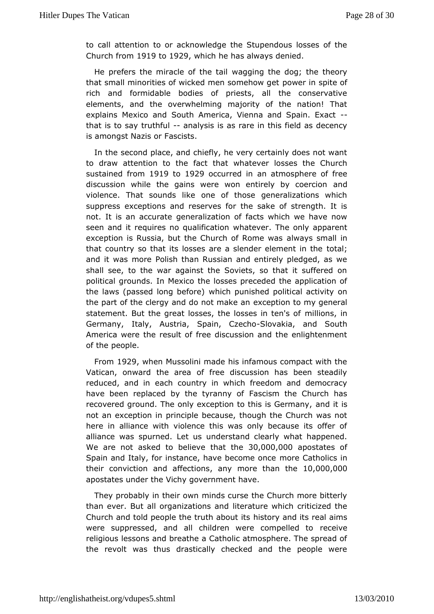to call thention to or acknowledge the Stupendous losses of Church from 19to1929 which he has always denied

He prefers the miracle owagging the dog; the theory that small minorities of wicked men psommeenhow sopeite of rich and formidable bodies of priests, all the conserva elements, and the overwhelming majority of the nation! T explains Mexico Sountch America, Vienna and Spain. Exact that is to say tru-tan finally sisal is rare in this field as decency is amongst Nazis or Fascists.

In theecond place, and chiefly, he very certainly does not w to draw attentiothetofact that whatever losses the Church sustained fricom 9to1929 occurred aim atmosphere of free discussion while the gains were won entireally dby coercion violence. That sounds like one of those generalizations v suppreses x ceptions and reserves for the sake of strength. It not. It is an accourate ealization of facts which we have now seen and it requires no quahiditeation The only apparent exception is Russia, but the Church ad tw a Ryosm semual als in that country so that its losses are a slendet to tellement in the and it was more Polish than Russian and entirely pledged, a shalsee, to the war against the Soviets, so that it suffered political groumd Mexico the losses preceded the application of the laws (passed long wheit charge) unished political activity on the part of the clergy and do not to make an to my general statement. But the great losses, the losmsid bioinsteim's of Germany, Italy, Austria, SpaislovCazkeiaho and South Americuaere the result of free discussion and the enlightenme of thepeople.

From 929 when Mussolini made his infamous compact with the Vatican, onward the area of free discussion has been ste reduced, and each country in which freedom and democracy have been replaced by the t $\overline{v}$  as a church has recovered ground. The only exception to tannist list Gsermany, not an exception in principle because, though the Church wa herein alliance with violence this was only because its offe alliance wapsurned. Let us understand clearly what happened We are not asked to bleate  $\forall \theta \in \mathcal{S}$  to  $\theta$  ,  $0.00$ ,  $0.000$  postates of Spain and Italy, for instance, have mboerce mC at thouchers in their conviction and aftencytiom osre than 1ton,e000,000 apostates under the Vichy government have.

They probably in themind wincurse the Church more bitterly than ever. But all organizations at using which criticized the Church and told people the truh history and the sits real aims were suppressed, and all children were reomipelled to religious lessons and breathe a Catholic atmosphere. The spr the revolt was thus drastically checked and the people we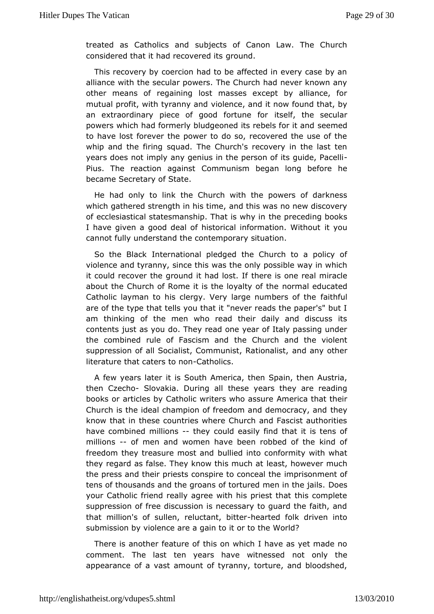treated as Catholics ubgined ts of Canon Law. The Church considered that it had reconvered its

This recovery by coercion had to be affected in every case alliance with the secular powers. The Church had never know other means ron aining lost masses except by alliance, for mutual profit, with tyra nino  $\psi$  ean the and it now found that, by an extraordinary piece of good foselume the secular powers which had formerly bludgeoned its seben safor it and to have lost forever the power to do so, recovered the use of whipand the firing squad. The Church's recovery in the last years does not amply enius in the person of its quide, Pacelli Pius. The reaction aCgominmsutnism began long before he became Secretary of State.

He had onlylinck the Church with the powers of darkness which gathered strength inahds thims ewas no new discovery of ecclesiastical statesmanship. That pirse oven dyining books I have given a good deal of historical inform robion. Without cannot fully understand the contemporary situation.

So the Black ernational pledged the Church to a policy of violence and tyranny, swmassethheisonly possible way in which it could recover the ground it the adelost one real miracle about the Church of Rome it is the nooy mlay conducted Catholic layman to his clergy. Very large frauthholdens of the are of the type that tells you that it "never reads the paper's am thinking of the men who read their daily and discuss contents just adoy. O They read one year of Italy passing under the combined rule of Fascinsem Cannuctrch and the violent suppression of all Socialist, Communiand Ranty contablest, literature that caters  $C$  ad holdings.

A few years liates South America, then Spain, then Austria, then CzechSdovakia. Durintoh easle years they are reading books or articles by Catholic write Asmethic aasts at etheir Church is the ideal champion of freedom and the eymocracy, and know that in these countries where Church and Fascist autho havecombined millionsey could easily find that it is tens of millions of men and women have been robbed of the kind of freedom they treasure mbousitiad dinto conformity with what they regard as false. They know the assimulably aver much the press and their priests conspire imppc concernate ntheof tens of thousands and the groans of torturedDmes in the jails. your Catholic friend really agree with his priest that this  $\mathsf{co}\square$ suppression of free discussion is necessary to quard the fait thatmillion's of sullen, relucthed artheodik driven into submission vboylence are a gain to it or to the World?

There is another feathuise oonf which I have as yet made no comment. The last ten years haven wit mond yed he appearance of a vast amount of tyranny, torture, and bloods